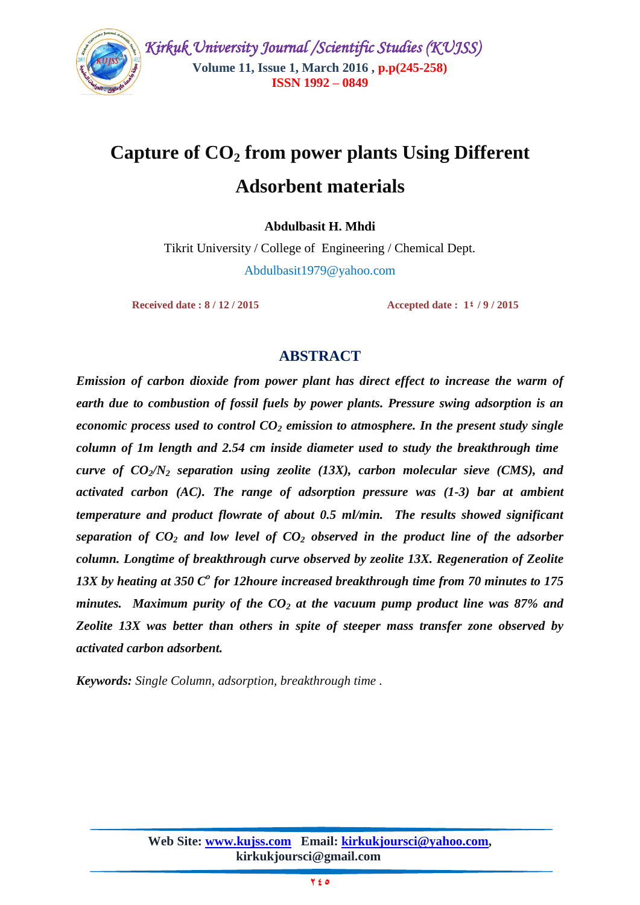

 *Kirkuk University Journal /Scientific Studies (KUJSS)*  **Volume 11, Issue 1, March 2016 , p.p(245-258) ISSN 1992 – 0849**

# **Capture of CO<sup>2</sup> from power plants Using Different**

# **Adsorbent materials**

**Abdulbasit H. Mhdi**

Tikrit University / College of Engineering / Chemical Dept. [Abdulbasit1979@yahoo.com](mailto:Abdulbasit1979@yahoo.com)

**Received date : 8 / 12 / 2015** Accepted date : 1 **4 / 9 / 2015** 

## **ABSTRACT**

*Emission of carbon dioxide from power plant has direct effect to increase the warm of earth due to combustion of fossil fuels by power plants. Pressure swing adsorption is an economic process used to control CO<sup>2</sup> emission to atmosphere. In the present study single column of 1m length and 2.54 cm inside diameter used to study the breakthrough time curve of CO2/N<sup>2</sup> separation using zeolite (13X), carbon molecular sieve (CMS), and activated carbon (AC). The range of adsorption pressure was (1-3) bar at ambient temperature and product flowrate of about 0.5 ml/min. The results showed significant separation of CO<sup>2</sup> and low level of CO<sup>2</sup> observed in the product line of the adsorber column. Longtime of breakthrough curve observed by zeolite 13X. Regeneration of Zeolite*  13X by heating at 350 C<sup>o</sup> for 12houre increased breakthrough time from 70 minutes to 175 *minutes. Maximum purity of the CO<sup>2</sup> at the vacuum pump product line was 87% and Zeolite 13X was better than others in spite of steeper mass transfer zone observed by activated carbon adsorbent.* 

*Keywords: Single Column, adsorption, breakthrough time .*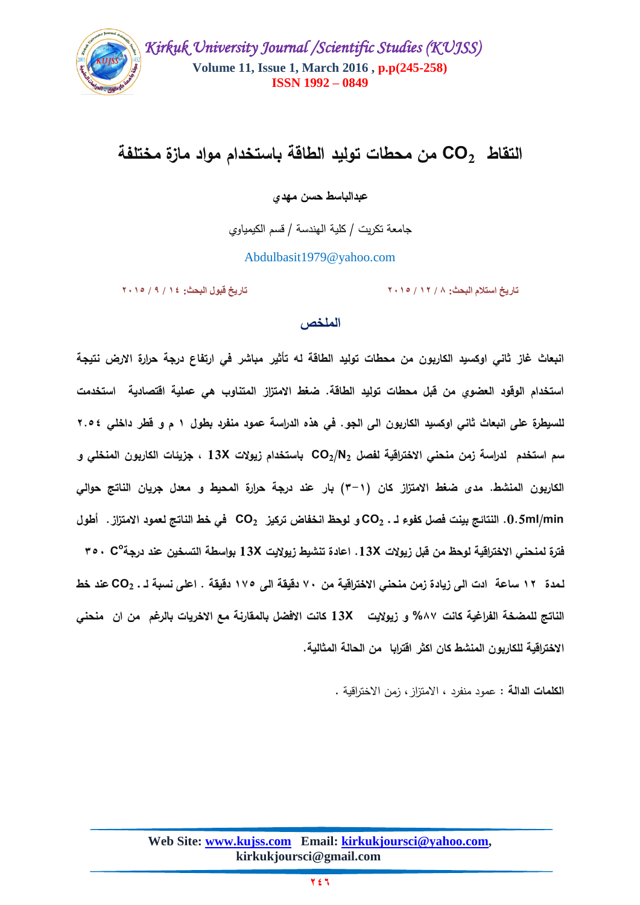

# **التقاط 2CO من محطات توليد الطاقة باستخدام مواد مازة مختمفة**

**عبدالباسط حسن ميدي**

جامعة تكريت / كمية الهندسة / قسم الكيمياوي

[Abdulbasit1979@yahoo.com](mailto:Abdulbasit1979@yahoo.com)

**تاريخ استالم البحث: 8 / 15 / 5112 تاريخ قبول البحث: 14 / 9 / 5112**

### **الممخص**

**انبعاث غاز ثاني اوكسيد الكاربون من محطات توليد الطاقة لو تأثير مباشر في ارتفاع درجة حرارة االرض نتيجة استخدام الوقود العضوي من قبل محطات توليد الطاقة. ضغط االمتزاز المتناوب ىي عممية اقتصادية استخدمت لمسيطرة عمى انبعاث ثاني اوكسيد الكاربون الى الجو. في ىذه الدراسة عمود منفرد بطول 1 م و قطر داخمي 4..2 سم استخدم لدراسة زمن منحني االختراقية لفصل 2N2/CO باستخدام زيوالت X13 , جزيئات الكاربون المنخمي و الكاربون المنشط. مدى ضغط االمتزاز كان )3-1( بار عند درجة حرارة المحيط و معدل جريان الناتج حوالي min/ml.0.5 النتائج بينت فصل كفوء لـ ـ 2CO و لوحظ انخفاض تركيز 2CO في خط الناتج لعمود االمتزاز. أطول o فترة لمنحني االختراقية لوحظ من قبل زيوالت X.13 اعادة تنشيط زيواليت X13 بواسطة التسخين عند درجة 3.3 C لـمدة 14 ساعة ادت الى زيادة زمن منحني االختراقية من 03 دقيقة الى 10. دقيقة . اعمى نسبة لـ ـ 2CO عند خط الناتج لممضخة الفراغية كانت %70 و زيواليت X13 كانت االفضل بالمقارنة مع االخريات بالرغم من ان منحني االختراقية لمكاربون المنشط كان اكثر اقترابا من الحالة المثالية.**

**الكممات الدالة :** عمود منفرد , االمتزاز, زمن االختراقية **.**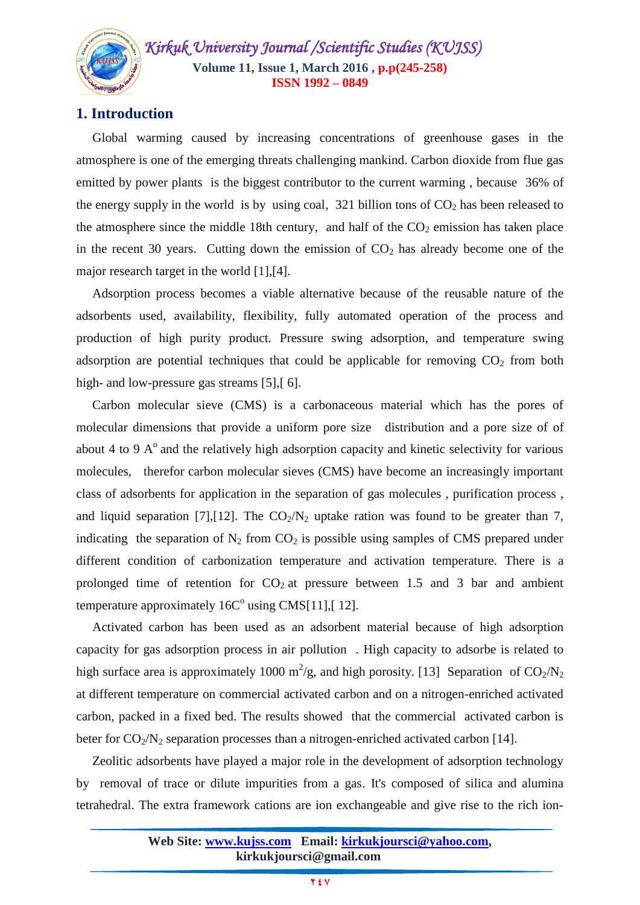

## **1. Introduction**

 Global warming caused by increasing concentrations of greenhouse gases in the atmosphere is one of the emerging threats challenging mankind. Carbon dioxide from flue gas emitted by power plants is the biggest contributor to the current warming , because 36% of the energy supply in the world is by using coal,  $321$  billion tons of  $CO<sub>2</sub>$  has been released to the atmosphere since the middle 18th century, and half of the  $CO<sub>2</sub>$  emission has taken place in the recent 30 years. Cutting down the emission of  $CO<sub>2</sub>$  has already become one of the major research target in the world [\[1\],\[4\]](#page-11-0).

 Adsorption process becomes a viable alternative because of the reusable nature of the adsorbents used, availability, flexibility, fully automated operation of the process and production of high purity product. Pressure swing adsorption, and temperature swing adsorption are potential techniques that could be applicable for removing  $CO<sub>2</sub>$  from both high- and low-pressure gas streams [\[5\]](#page-12-0), [[6\]](#page-12-1).

 Carbon molecular sieve (CMS) is a carbonaceous material which has the pores of molecular dimensions that provide a uniform pore size distribution and a pore size of of about 4 to 9  $A<sup>o</sup>$  and the relatively high adsorption capacity and kinetic selectivity for various molecules, therefor carbon molecular sieves (CMS) have become an increasingly important class of adsorbents for application in the separation of gas molecules , purification process , and liquid separation [\[7\],\[12\]](#page-12-2). The  $CO_2/N_2$  uptake ration was found to be greater than 7, indicating the separation of  $N_2$  from  $CO_2$  is possible using samples of CMS prepared under different condition of carbonization temperature and activation temperature. There is a prolonged time of retention for  $CO<sub>2</sub>$  at pressure between 1.5 and 3 bar and ambient temperature approximately  $16C<sup>o</sup>$  using CMS[\[11\]](#page-12-3),[[12\]](#page-12-4).

 Activated carbon has been used as an adsorbent material because of high adsorption capacity for gas adsorption process in air pollution . High capacity to adsorbe is related to high surface area is approximately 1000 m<sup>2</sup>/g, and high porosity. [\[13\]](#page-12-5) Separation of  $CO_2/N_2$ at different temperature on commercial activated carbon and on a nitrogen-enriched activated carbon, packed in a fixed bed. The results showed that the commercial activated carbon is beter for  $CO_2/N_2$  separation processes than a nitrogen-enriched activated carbon [\[14\]](#page-13-0).

 Zeolitic adsorbents have played a major role in the development of adsorption technology by removal of trace or dilute impurities from a gas. It's composed of silica and alumina tetrahedral. The extra framework cations are ion exchangeable and give rise to the rich ion-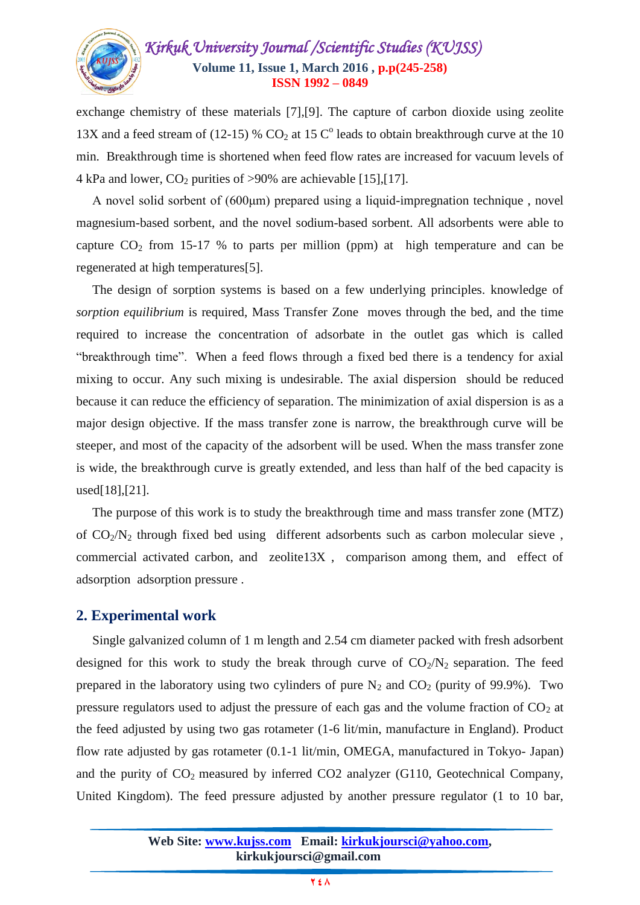

exchange chemistry of these materials [\[7\],\[9\]](#page-12-2). The capture of carbon dioxide using zeolite 13X and a feed stream of (12-15) %  $CO<sub>2</sub>$  at 15  $C<sup>o</sup>$  leads to obtain breakthrough curve at the 10 min. Breakthrough time is shortened when feed flow rates are increased for vacuum levels of 4 kPa and lower,  $CO_2$  purities of >90% are achievable [\[15\],\[17\]](#page-13-1).

 A novel solid sorbent of (600μm) prepared using a liquid-impregnation technique , novel magnesium-based sorbent, and the novel sodium-based sorbent. All adsorbents were able to capture  $CO_2$  from 15-17 % to parts per million (ppm) at high temperature and can be regenerated at high temperatures[\[5\]](#page-12-0).

 The design of sorption systems is based on a few underlying principles. knowledge of *sorption equilibrium* is required, Mass Transfer Zone moves through the bed, and the time required to increase the concentration of adsorbate in the outlet gas which is called "breakthrough time". When a feed flows through a fixed bed there is a tendency for axial mixing to occur. Any such mixing is undesirable. The axial dispersion should be reduced because it can reduce the efficiency of separation. The minimization of axial dispersion is as a major design objective. If the mass transfer zone is narrow, the breakthrough curve will be steeper, and most of the capacity of the adsorbent will be used. When the mass transfer zone is wide, the breakthrough curve is greatly extended, and less than half of the bed capacity is used[\[18\],\[21\]](#page-13-2).

 The purpose of this work is to study the breakthrough time and mass transfer zone (MTZ) of  $CO<sub>2</sub>/N<sub>2</sub>$  through fixed bed using different adsorbents such as carbon molecular sieve, commercial activated carbon, and zeolite13X , comparison among them, and effect of adsorption adsorption pressure .

## **2. Experimental work**

 Single galvanized column of 1 m length and 2.54 cm diameter packed with fresh adsorbent designed for this work to study the break through curve of  $CO<sub>2</sub>/N<sub>2</sub>$  separation. The feed prepared in the laboratory using two cylinders of pure  $N_2$  and  $CO_2$  (purity of 99.9%). Two pressure regulators used to adjust the pressure of each gas and the volume fraction of  $CO<sub>2</sub>$  at the feed adjusted by using two gas rotameter (1-6 lit/min, manufacture in England). Product flow rate adjusted by gas rotameter (0.1-1 lit/min, OMEGA, manufactured in Tokyo- Japan) and the purity of  $CO<sub>2</sub>$  measured by inferred  $CO<sub>2</sub>$  analyzer (G110, Geotechnical Company, United Kingdom). The feed pressure adjusted by another pressure regulator (1 to 10 bar,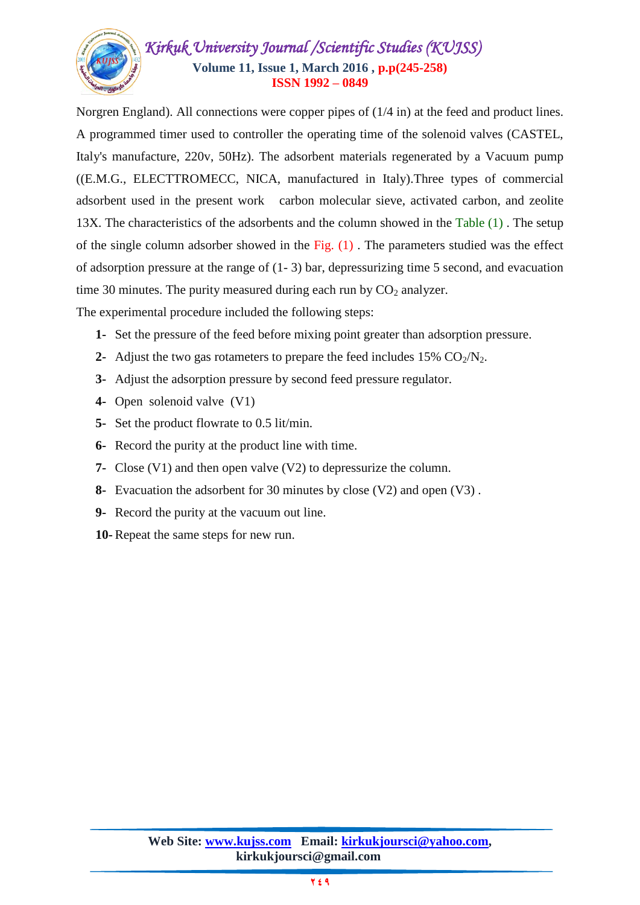

Norgren England). All connections were copper pipes of (1/4 in) at the feed and product lines. A programmed timer used to controller the operating time of the solenoid valves (CASTEL, Italy's manufacture, 220v, 50Hz). The adsorbent materials regenerated by a Vacuum pump ((E.M.G., ELECTTROMECC, NICA, manufactured in Italy).Three types of commercial adsorbent used in the present work carbon molecular sieve, activated carbon, and zeolite 13X. The characteristics of the adsorbents and the column showed in the Table (1) . The setup of the single column adsorber showed in the Fig.  $(1)$ . The parameters studied was the effect of adsorption pressure at the range of (1- 3) bar, depressurizing time 5 second, and evacuation time 30 minutes. The purity measured during each run by  $CO<sub>2</sub>$  analyzer.

The experimental procedure included the following steps:

- **1-** Set the pressure of the feed before mixing point greater than adsorption pressure.
- **2-** Adjust the two gas rotameters to prepare the feed includes  $15\%$  CO<sub>2</sub>/N<sub>2</sub>.
- **3-** Adjust the adsorption pressure by second feed pressure regulator.
- **4-** Open solenoid valve (V1)
- **5-** Set the product flowrate to 0.5 lit/min.
- **6-** Record the purity at the product line with time.
- **7-** Close (V1) and then open valve (V2) to depressurize the column.
- **8-** Evacuation the adsorbent for 30 minutes by close (V2) and open (V3) .
- **9-** Record the purity at the vacuum out line.
- **10-** Repeat the same steps for new run.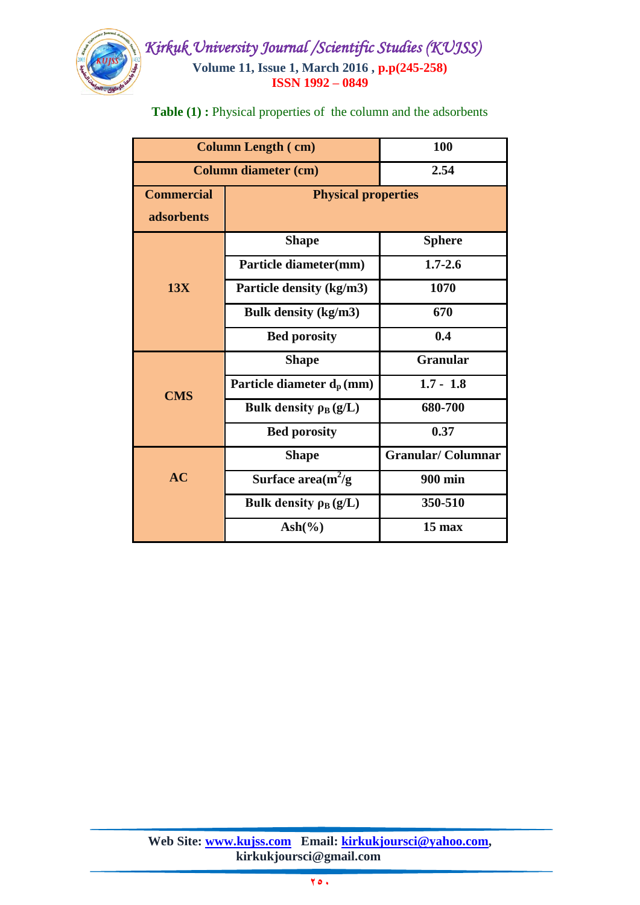

# *Kirkuk University Journal /Scientific Studies (KUJSS)*  **Volume 11, Issue 1, March 2016 , p.p(245-258) ISSN 1992 – 0849**

| <b>Column Length (cm)</b>   |                              | 100                      |
|-----------------------------|------------------------------|--------------------------|
| <b>Column diameter (cm)</b> |                              | 2.54                     |
| <b>Commercial</b>           | <b>Physical properties</b>   |                          |
| adsorbents                  |                              |                          |
| 13X                         | <b>Shape</b>                 | <b>Sphere</b>            |
|                             | Particle diameter(mm)        | $1.7 - 2.6$              |
|                             | Particle density (kg/m3)     | 1070                     |
|                             | Bulk density (kg/m3)         | 670                      |
|                             | <b>Bed porosity</b>          | 0.4                      |
| <b>CMS</b>                  | <b>Shape</b>                 | <b>Granular</b>          |
|                             | Particle diameter $d_p$ (mm) | $1.7 - 1.8$              |
|                             | Bulk density $\rho_B(g/L)$   | 680-700                  |
|                             | <b>Bed porosity</b>          | 0.37                     |
| AC                          | <b>Shape</b>                 | <b>Granular/Columnar</b> |
|                             | Surface area $(m^2/g)$       | <b>900 min</b>           |
|                             | Bulk density $\rho_B(g/L)$   | 350-510                  |
|                             | $Ash(\% )$                   | $15$ max                 |

**Table (1) :** Physical properties of the column and the adsorbents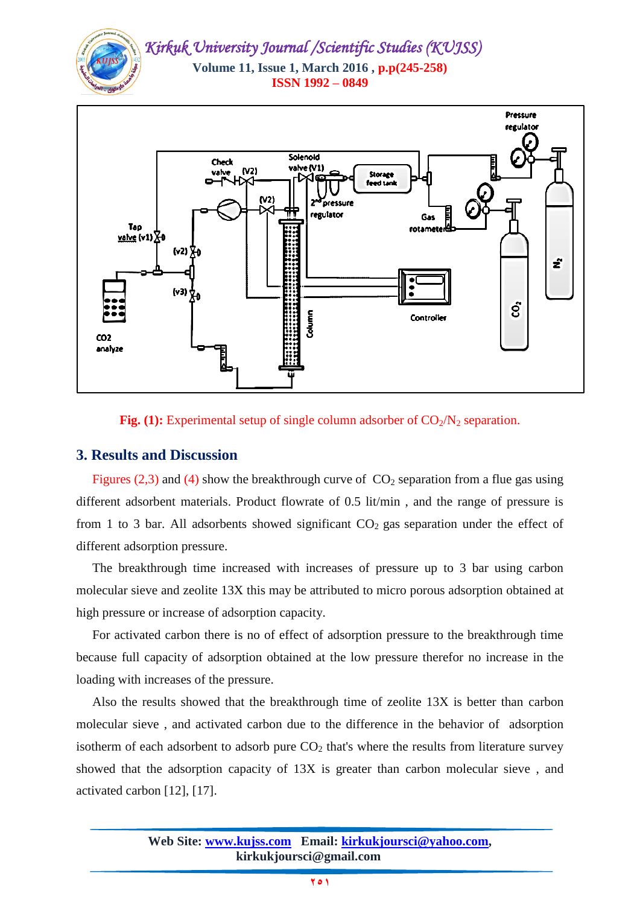



#### **Fig.** (1): Experimental setup of single column adsorber of  $CO<sub>2</sub>/N<sub>2</sub>$  separation.

### **3. Results and Discussion**

Figures (2,3) and (4) show the breakthrough curve of  $CO_2$  separation from a flue gas using different adsorbent materials. Product flowrate of 0.5 lit/min , and the range of pressure is from 1 to 3 bar. All adsorbents showed significant  $CO<sub>2</sub>$  gas separation under the effect of different adsorption pressure.

 The breakthrough time increased with increases of pressure up to 3 bar using carbon molecular sieve and zeolite 13X this may be attributed to micro porous adsorption obtained at high pressure or increase of adsorption capacity.

 For activated carbon there is no of effect of adsorption pressure to the breakthrough time because full capacity of adsorption obtained at the low pressure therefor no increase in the loading with increases of the pressure.

 Also the results showed that the breakthrough time of zeolite 13X is better than carbon molecular sieve , and activated carbon due to the difference in the behavior of adsorption isotherm of each adsorbent to adsorb pure  $CO<sub>2</sub>$  that's where the results from literature survey showed that the adsorption capacity of 13X is greater than carbon molecular sieve , and activated carbon [\[12\]](#page-12-4), [\[17\]](#page-13-3).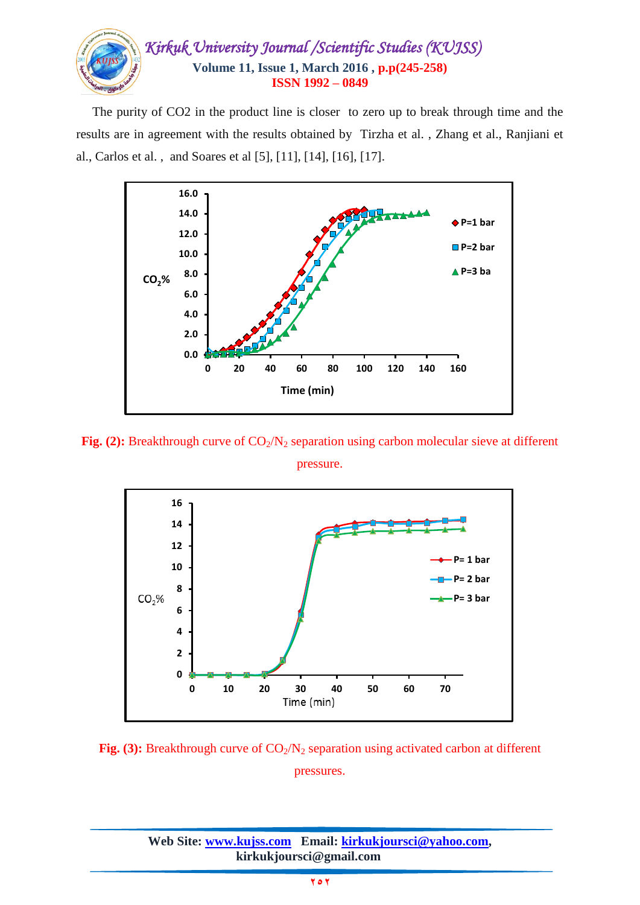

 The purity of CO2 in the product line is closer to zero up to break through time and the results are in agreement with the results obtained by Tirzha et al. , Zhang et al., Ranjiani et al., Carlos et al. , and Soares et al [\[5\]](#page-12-0), [\[11\]](#page-12-3), [\[14\]](#page-13-0), [\[16\]](#page-13-4), [\[17\]](#page-13-3).



**Fig.** (2): Breakthrough curve of  $CO<sub>2</sub>/N<sub>2</sub>$  separation using carbon molecular sieve at different pressure.



**Fig.** (3): Breakthrough curve of  $CO<sub>2</sub>/N<sub>2</sub>$  separation using activated carbon at different pressures.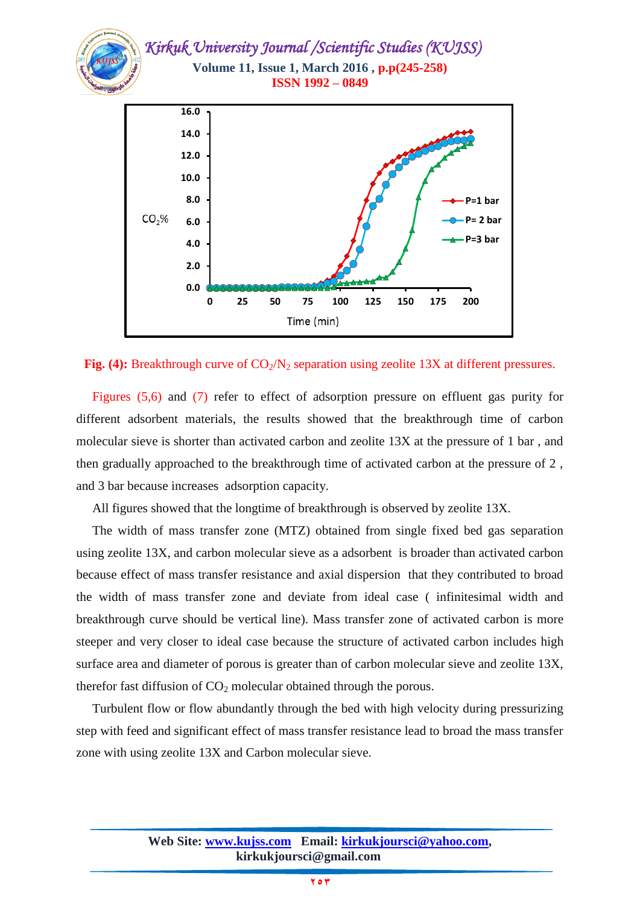

**Fig.** (4): Breakthrough curve of  $CO<sub>2</sub>/N<sub>2</sub>$  separation using zeolite 13X at different pressures.

 Figures (5,6) and (7) refer to effect of adsorption pressure on effluent gas purity for different adsorbent materials, the results showed that the breakthrough time of carbon molecular sieve is shorter than activated carbon and zeolite 13X at the pressure of 1 bar , and then gradually approached to the breakthrough time of activated carbon at the pressure of 2 , and 3 bar because increases adsorption capacity.

All figures showed that the longtime of breakthrough is observed by zeolite 13X.

 The width of mass transfer zone (MTZ) obtained from single fixed bed gas separation using zeolite 13X, and carbon molecular sieve as a adsorbent is broader than activated carbon because effect of mass transfer resistance and axial dispersion that they contributed to broad the width of mass transfer zone and deviate from ideal case ( infinitesimal width and breakthrough curve should be vertical line). Mass transfer zone of activated carbon is more steeper and very closer to ideal case because the structure of activated carbon includes high surface area and diameter of porous is greater than of carbon molecular sieve and zeolite 13X, therefor fast diffusion of  $CO<sub>2</sub>$  molecular obtained through the porous.

 Turbulent flow or flow abundantly through the bed with high velocity during pressurizing step with feed and significant effect of mass transfer resistance lead to broad the mass transfer zone with using zeolite 13X and Carbon molecular sieve.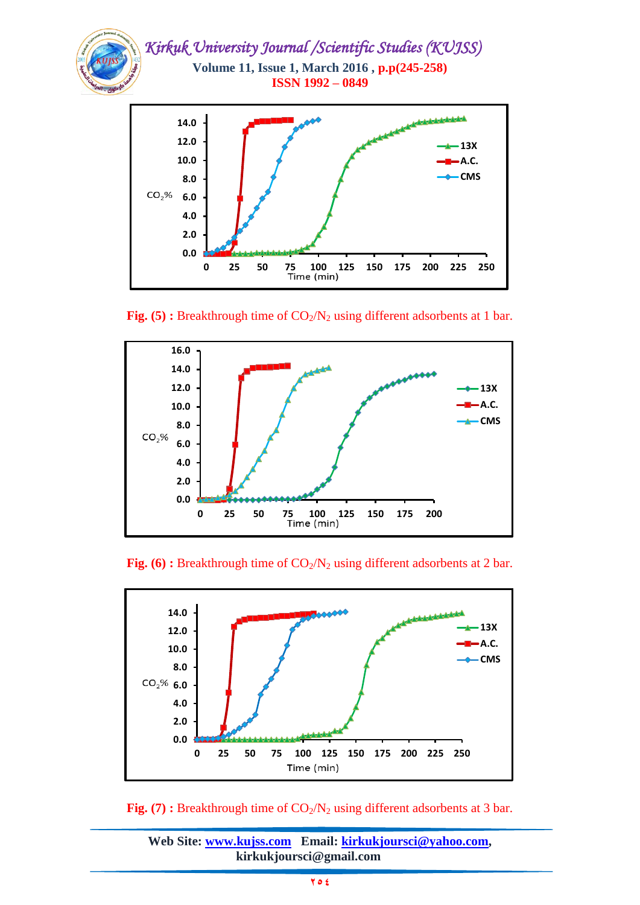

**Fig.** (5) **:** Breakthrough time of  $CO_2/N_2$  using different adsorbents at 1 bar.



**Fig.** (6) **:** Breakthrough time of  $CO_2/N_2$  using different adsorbents at 2 bar.



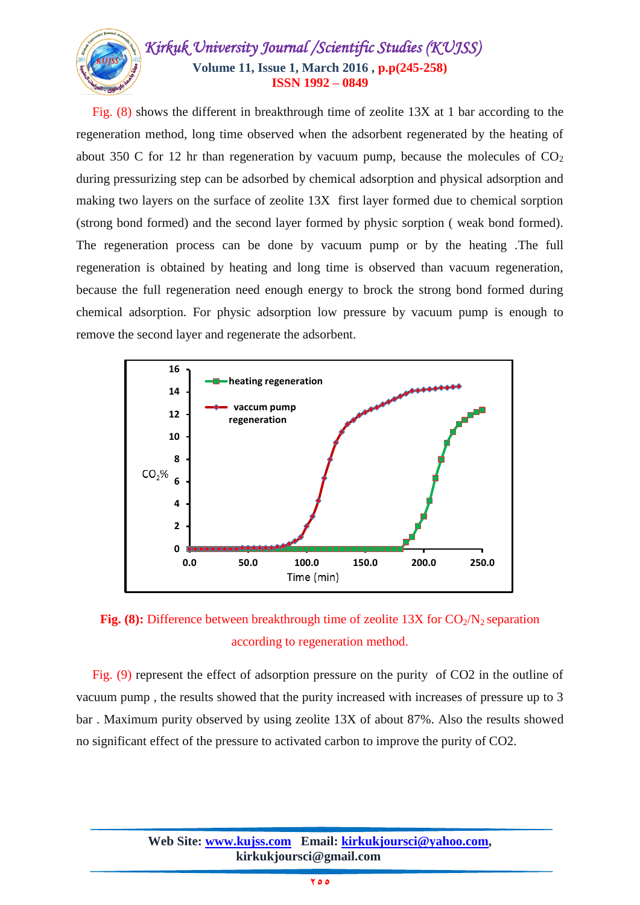

 Fig. (8) shows the different in breakthrough time of zeolite 13X at 1 bar according to the regeneration method, long time observed when the adsorbent regenerated by the heating of about 350 C for 12 hr than regeneration by vacuum pump, because the molecules of  $CO<sub>2</sub>$ during pressurizing step can be adsorbed by chemical adsorption and physical adsorption and making two layers on the surface of zeolite 13X first layer formed due to chemical sorption (strong bond formed) and the second layer formed by physic sorption ( weak bond formed). The regeneration process can be done by vacuum pump or by the heating .The full regeneration is obtained by heating and long time is observed than vacuum regeneration, because the full regeneration need enough energy to brock the strong bond formed during chemical adsorption. For physic adsorption low pressure by vacuum pump is enough to remove the second layer and regenerate the adsorbent.





 Fig. (9) represent the effect of adsorption pressure on the purity of CO2 in the outline of vacuum pump , the results showed that the purity increased with increases of pressure up to 3 bar . Maximum purity observed by using zeolite 13X of about 87%. Also the results showed no significant effect of the pressure to activated carbon to improve the purity of CO2.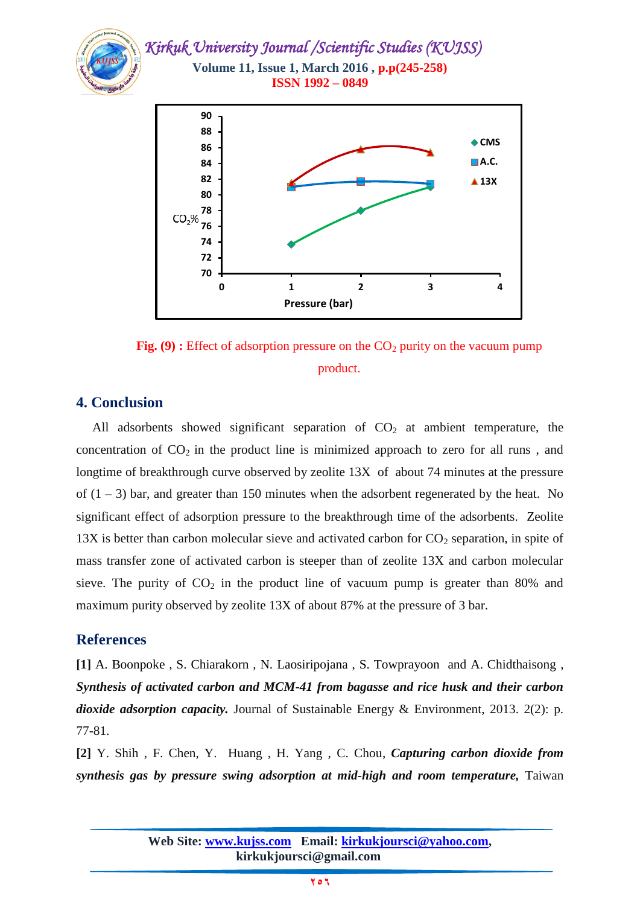



## **4. Conclusion**

All adsorbents showed significant separation of  $CO<sub>2</sub>$  at ambient temperature, the concentration of  $CO<sub>2</sub>$  in the product line is minimized approach to zero for all runs, and longtime of breakthrough curve observed by zeolite 13X of about 74 minutes at the pressure of  $(1 – 3)$  bar, and greater than 150 minutes when the adsorbent regenerated by the heat. No significant effect of adsorption pressure to the breakthrough time of the adsorbents. Zeolite  $13X$  is better than carbon molecular sieve and activated carbon for  $CO<sub>2</sub>$  separation, in spite of mass transfer zone of activated carbon is steeper than of zeolite 13X and carbon molecular sieve. The purity of  $CO<sub>2</sub>$  in the product line of vacuum pump is greater than 80% and maximum purity observed by zeolite 13X of about 87% at the pressure of 3 bar.

## **References**

<span id="page-11-0"></span>**[1]** A. Boonpoke , S. Chiarakorn , N. Laosiripojana , S. Towprayoon and A. Chidthaisong , *Synthesis of activated carbon and MCM-41 from bagasse and rice husk and their carbon dioxide adsorption capacity.* Journal of Sustainable Energy & Environment, 2013. 2(2): p. 77-81.

**[2]** Y. Shih , F. Chen, Y. Huang , H. Yang , C. Chou, *Capturing carbon dioxide from synthesis gas by pressure swing adsorption at mid-high and room temperature,* Taiwan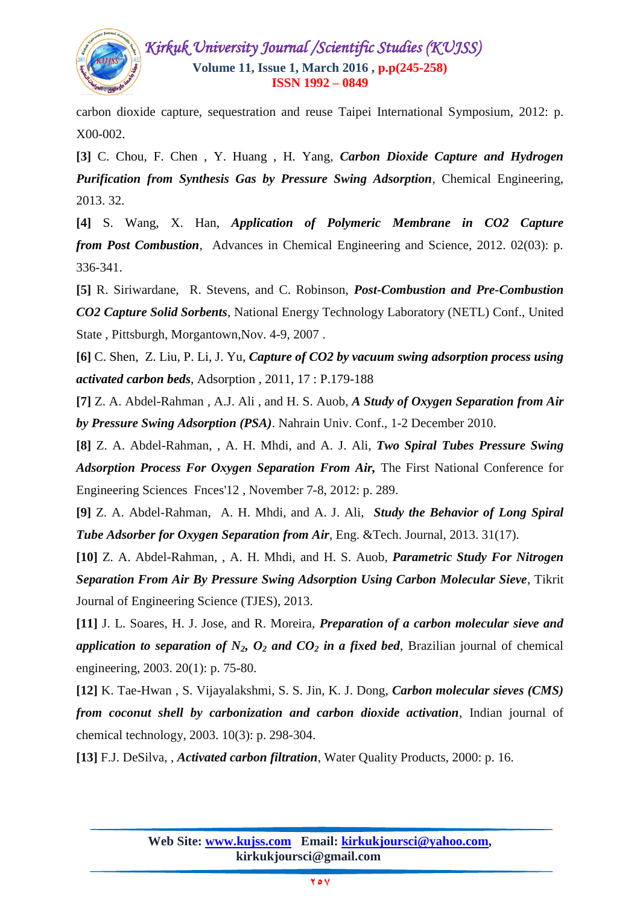

carbon dioxide capture, sequestration and reuse Taipei International Symposium, 2012: p. X00-002.

**[3]** C. Chou, F. Chen , Y. Huang , H. Yang, *Carbon Dioxide Capture and Hydrogen Purification from Synthesis Gas by Pressure Swing Adsorption*, Chemical Engineering, 2013. 32.

**[4]** S. Wang, X. Han, *Application of Polymeric Membrane in CO2 Capture from Post Combustion*, Advances in Chemical Engineering and Science, 2012. 02(03): p. 336-341.

<span id="page-12-0"></span>**[5]** R. Siriwardane, R. Stevens, and C. Robinson, *Post-Combustion and Pre-Combustion CO2 Capture Solid Sorbents*, National Energy Technology Laboratory (NETL) Conf., United State , Pittsburgh, Morgantown,Nov. 4-9, 2007 .

<span id="page-12-1"></span>**[6]** C. Shen, Z. Liu, P. Li, J. Yu, *Capture of CO2 by vacuum swing adsorption process using activated carbon beds*, Adsorption , 2011, 17 : P.179-188

<span id="page-12-2"></span>**[7]** Z. A. Abdel-Rahman , A.J. Ali , and H. S. Auob, *A Study of Oxygen Separation from Air by Pressure Swing Adsorption (PSA)*. Nahrain Univ. Conf., 1-2 December 2010.

**[8]** Z. A. Abdel-Rahman, , A. H. Mhdi, and A. J. Ali, *Two Spiral Tubes Pressure Swing Adsorption Process For Oxygen Separation From Air,* The First National Conference for Engineering Sciences Fnces'12 , November 7-8, 2012: p. 289.

**[9]** Z. A. Abdel-Rahman, A. H. Mhdi, and A. J. Ali, *Study the Behavior of Long Spiral Tube Adsorber for Oxygen Separation from Air*, Eng. &Tech. Journal, 2013. 31(17).

**[10]** Z. A. Abdel-Rahman, , A. H. Mhdi, and H. S. Auob, *Parametric Study For Nitrogen Separation From Air By Pressure Swing Adsorption Using Carbon Molecular Sieve*, Tikrit Journal of Engineering Science (TJES), 2013.

<span id="page-12-3"></span>**[11]** J. L. Soares, H. J. Jose, and R. Moreira, *Preparation of a carbon molecular sieve and application to separation of*  $N_2$ *,*  $O_2$  *<i>and*  $CO_2$  *in a fixed bed, Brazilian journal of chemical* engineering, 2003. 20(1): p. 75-80.

<span id="page-12-4"></span>**[12]** K. Tae-Hwan , S. Vijayalakshmi, S. S. Jin, K. J. Dong, *Carbon molecular sieves (CMS) from coconut shell by carbonization and carbon dioxide activation*, Indian journal of chemical technology, 2003. 10(3): p. 298-304.

<span id="page-12-5"></span>**[13]** F.J. DeSilva, , *Activated carbon filtration*, Water Quality Products, 2000: p. 16.